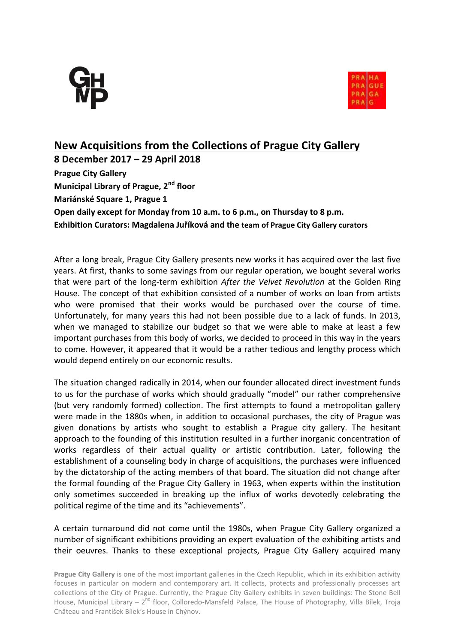



## **New Acquisitions from the Collections of Prague City Gallery**

**8 December 2017 – 29 April 2018 Prague City Gallery Municipal Library of Prague, 2nd floor Mariánské Square 1, Prague 1 Open daily except for Monday from 10 a.m. to 6 p.m., on Thursday to 8 p.m. Exhibition Curators: Magdalena Juříková and the team of Prague City Gallery curators**

After a long break, Prague City Gallery presents new works it has acquired over the last five years. At first, thanks to some savings from our regular operation, we bought several works that were part of the long-term exhibition *After the Velvet Revolution* at the Golden Ring House. The concept of that exhibition consisted of a number of works on loan from artists who were promised that their works would be purchased over the course of time. Unfortunately, for many years this had not been possible due to a lack of funds. In 2013, when we managed to stabilize our budget so that we were able to make at least a few important purchases from this body of works, we decided to proceed in this way in the years to come. However, it appeared that it would be a rather tedious and lengthy process which would depend entirely on our economic results.

The situation changed radically in 2014, when our founder allocated direct investment funds to us for the purchase of works which should gradually "model" our rather comprehensive (but very randomly formed) collection. The first attempts to found a metropolitan gallery were made in the 1880s when, in addition to occasional purchases, the city of Prague was given donations by artists who sought to establish a Prague city gallery. The hesitant approach to the founding of this institution resulted in a further inorganic concentration of works regardless of their actual quality or artistic contribution. Later, following the establishment of a counseling body in charge of acquisitions, the purchases were influenced by the dictatorship of the acting members of that board. The situation did not change after the formal founding of the Prague City Gallery in 1963, when experts within the institution only sometimes succeeded in breaking up the influx of works devotedly celebrating the political regime of the time and its "achievements".

A certain turnaround did not come until the 1980s, when Prague City Gallery organized a number of significant exhibitions providing an expert evaluation of the exhibiting artists and their oeuvres. Thanks to these exceptional projects, Prague City Gallery acquired many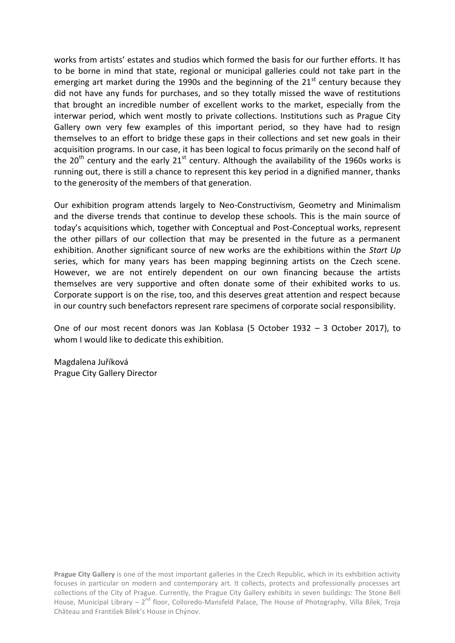works from artists' estates and studios which formed the basis for our further efforts. It has to be borne in mind that state, regional or municipal galleries could not take part in the emerging art market during the 1990s and the beginning of the  $21<sup>st</sup>$  century because they did not have any funds for purchases, and so they totally missed the wave of restitutions that brought an incredible number of excellent works to the market, especially from the interwar period, which went mostly to private collections. Institutions such as Prague City Gallery own very few examples of this important period, so they have had to resign themselves to an effort to bridge these gaps in their collections and set new goals in their acquisition programs. In our case, it has been logical to focus primarily on the second half of the 20<sup>th</sup> century and the early 21<sup>st</sup> century. Although the availability of the 1960s works is running out, there is still a chance to represent this key period in a dignified manner, thanks to the generosity of the members of that generation.

Our exhibition program attends largely to Neo-Constructivism, Geometry and Minimalism and the diverse trends that continue to develop these schools. This is the main source of today's acquisitions which, together with Conceptual and Post-Conceptual works, represent the other pillars of our collection that may be presented in the future as a permanent exhibition. Another significant source of new works are the exhibitions within the *Start Up* series, which for many years has been mapping beginning artists on the Czech scene. However, we are not entirely dependent on our own financing because the artists themselves are very supportive and often donate some of their exhibited works to us. Corporate support is on the rise, too, and this deserves great attention and respect because in our country such benefactors represent rare specimens of corporate social responsibility.

One of our most recent donors was Jan Koblasa (5 October 1932 – 3 October 2017), to whom I would like to dedicate this exhibition.

Magdalena Juříková Prague City Gallery Director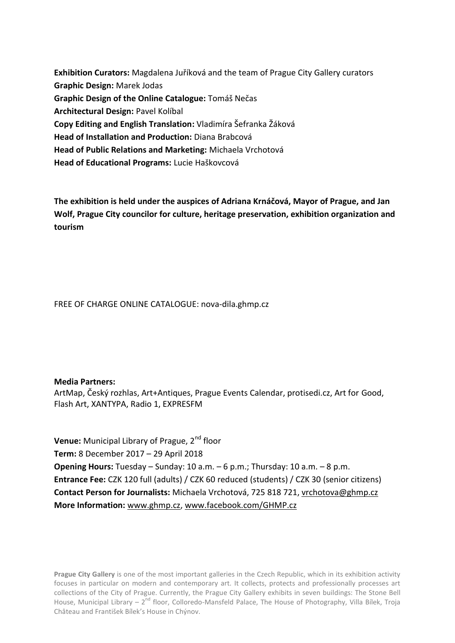**Exhibition Curators:** Magdalena Juříková and the team of Prague City Gallery curators **Graphic Design:** Marek Jodas **Graphic Design of the Online Catalogue:** Tomáš Nečas **Architectural Design:** Pavel Kolíbal **Copy Editing and English Translation:** Vladimíra Šefranka Žáková **Head of Installation and Production:** Diana Brabcová **Head of Public Relations and Marketing:** Michaela Vrchotová **Head of Educational Programs:** Lucie Haškovcová

**The exhibition is held under the auspices of Adriana Krnáčová, Mayor of Prague, and Jan Wolf, Prague City councilor for culture, heritage preservation, exhibition organization and tourism**

FREE OF CHARGE ONLINE CATALOGUE: nova-dila.ghmp.cz

**Media Partners:**

ArtMap, Český rozhlas, Art+Antiques, Prague Events Calendar, protisedi.cz, Art for Good, Flash Art, XANTYPA, Radio 1, EXPRESFM

**Venue:** Municipal Library of Prague, 2<sup>nd</sup> floor **Term:** 8 December 2017 – 29 April 2018 **Opening Hours:** Tuesday – Sunday: 10 a.m. – 6 p.m.; Thursday: 10 a.m. – 8 p.m. **Entrance Fee:** CZK 120 full (adults) / CZK 60 reduced (students) / CZK 30 (senior citizens) **Contact Person for Journalists:** Michaela Vrchotová, 725 818 721, [vrchotova@ghmp.cz](mailto:vrchotova@ghmp.cz) **More Information:** [www.ghmp.cz,](http://www.ghmp.cz/) [www.facebook.com/GHMP.cz](http://www.facebook.com/GHMP.cz)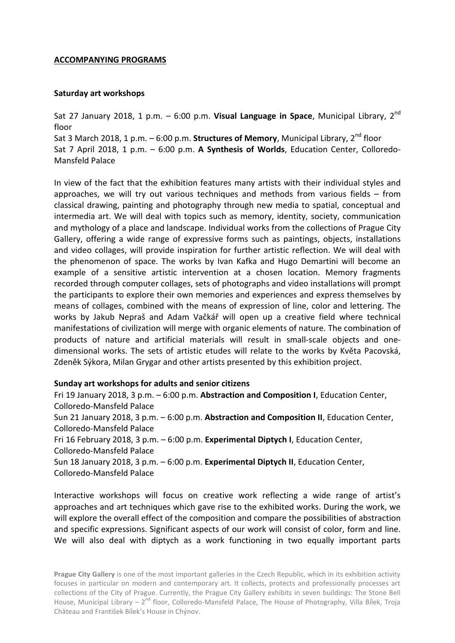## **ACCOMPANYING PROGRAMS**

## **Saturday art workshops**

Sat 27 January 2018, 1 p.m. – 6:00 p.m. **Visual Language in Space**, Municipal Library, 2nd floor

Sat 3 March 2018, 1 p.m. – 6:00 p.m. **Structures of Memory**, Municipal Library, 2<sup>nd</sup> floor Sat 7 April 2018, 1 p.m. – 6:00 p.m. **A Synthesis of Worlds**, Education Center, Colloredo-Mansfeld Palace

In view of the fact that the exhibition features many artists with their individual styles and approaches, we will try out various techniques and methods from various fields – from classical drawing, painting and photography through new media to spatial, conceptual and intermedia art. We will deal with topics such as memory, identity, society, communication and mythology of a place and landscape. Individual works from the collections of Prague City Gallery, offering a wide range of expressive forms such as paintings, objects, installations and video collages, will provide inspiration for further artistic reflection. We will deal with the phenomenon of space. The works by Ivan Kafka and Hugo Demartini will become an example of a sensitive artistic intervention at a chosen location. Memory fragments recorded through computer collages, sets of photographs and video installations will prompt the participants to explore their own memories and experiences and express themselves by means of collages, combined with the means of expression of line, color and lettering. The works by Jakub Nepraš and Adam Vačkář will open up a creative field where technical manifestations of civilization will merge with organic elements of nature. The combination of products of nature and artificial materials will result in small-scale objects and onedimensional works. The sets of artistic etudes will relate to the works by Květa Pacovská, Zdeněk Sýkora, Milan Grygar and other artists presented by this exhibition project.

## **Sunday art workshops for adults and senior citizens**

Fri 19 January 2018, 3 p.m. – 6:00 p.m. **Abstraction and Composition I**, Education Center, Colloredo-Mansfeld Palace Sun 21 January 2018, 3 p.m. – 6:00 p.m. **Abstraction and Composition II**, Education Center, Colloredo-Mansfeld Palace Fri 16 February 2018, 3 p.m. – 6:00 p.m. **Experimental Diptych I**, Education Center, Colloredo-Mansfeld Palace Sun 18 January 2018, 3 p.m. – 6:00 p.m. **Experimental Diptych II**, Education Center, Colloredo-Mansfeld Palace

Interactive workshops will focus on creative work reflecting a wide range of artist's approaches and art techniques which gave rise to the exhibited works. During the work, we will explore the overall effect of the composition and compare the possibilities of abstraction and specific expressions. Significant aspects of our work will consist of color, form and line. We will also deal with diptych as a work functioning in two equally important parts